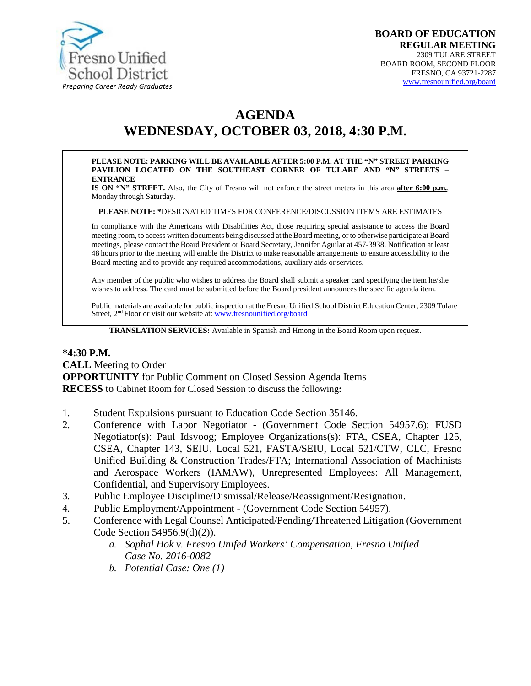

# **AGENDA**

## **WEDNESDAY, OCTOBER 03, 2018, 4:30 P.M.**

#### **PLEASE NOTE: PARKING WILL BE AVAILABLE AFTER 5:00 P.M. AT THE "N" STREET PARKING PAVILION LOCATED ON THE SOUTHEAST CORNER OF TULARE AND "N" STREETS – ENTRANCE**

**IS ON "N" STREET.** Also, the City of Fresno will not enforce the street meters in this area **after 6:00 p.m.**, Monday through Saturday.

**PLEASE NOTE: \***DESIGNATED TIMES FOR CONFERENCE/DISCUSSION ITEMS ARE ESTIMATES

In compliance with the Americans with Disabilities Act, those requiring special assistance to access the Board meeting room, to access written documents being discussed at the Board meeting, or to otherwise participate atBoard meetings, please contact the Board President or Board Secretary, Jennifer Aguilar at 457-3938. Notification at least 48 hours prior to the meeting will enable the District to make reasonable arrangements to ensure accessibility to the Board meeting and to provide any required accommodations, auxiliary aids orservices.

Any member of the public who wishes to address the Board shall submit a speaker card specifying the item he/she wishes to address. The card must be submitted before the Board president announces the specific agenda item.

Public materials are available for public inspection at the Fresno Unified School District Education Center, 2309 Tulare Street, 2<sup>nd</sup> Floor or visit our website at: [www.fresnounified.org/board](http://www.fresnounified.org/board)

**TRANSLATION SERVICES:** Available in Spanish and Hmong in the Board Room upon request.

#### **\*4:30 P.M. CALL** Meeting to Order **OPPORTUNITY** for Public Comment on Closed Session Agenda Items **RECESS** to Cabinet Room for Closed Session to discuss the following**:**

- 1. Student Expulsions pursuant to Education Code Section 35146.
- 2. Conference with Labor Negotiator (Government Code Section 54957.6); FUSD Negotiator(s): Paul Idsvoog; Employee Organizations(s): FTA, CSEA, Chapter 125, CSEA, Chapter 143, SEIU, Local 521, FASTA/SEIU, Local 521/CTW, CLC, Fresno Unified Building & Construction Trades/FTA; International Association of Machinists and Aerospace Workers (IAMAW), Unrepresented Employees: All Management, Confidential, and Supervisory Employees.
- 3. Public Employee Discipline/Dismissal/Release/Reassignment/Resignation.
- 4. Public Employment/Appointment (Government Code Section 54957).
- 5. Conference with Legal Counsel Anticipated/Pending/Threatened Litigation (Government Code Section 54956.9(d)(2)).
	- *a. Sophal Hok v. Fresno Unifed Workers' Compensation, Fresno Unified Case No. 2016-0082*
	- *b. Potential Case: One (1)*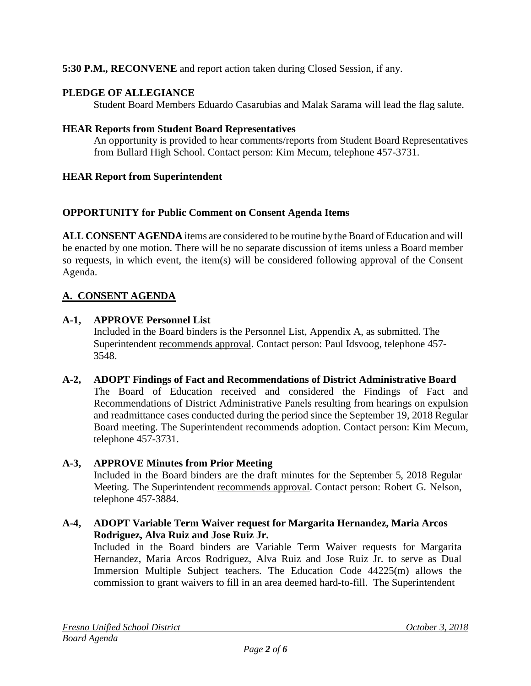**5:30 P.M., RECONVENE** and report action taken during Closed Session, if any.

### **PLEDGE OF ALLEGIANCE**

Student Board Members Eduardo Casarubias and Malak Sarama will lead the flag salute.

#### **HEAR Reports from Student Board Representatives**

An opportunity is provided to hear comments/reports from Student Board Representatives from Bullard High School. Contact person: Kim Mecum, telephone 457-3731.

#### **HEAR Report from Superintendent**

#### **OPPORTUNITY for Public Comment on Consent Agenda Items**

**ALL CONSENT AGENDA** items are considered to be routine bythe Board of Education and will be enacted by one motion. There will be no separate discussion of items unless a Board member so requests, in which event, the item(s) will be considered following approval of the Consent Agenda.

### **A. CONSENT AGENDA**

#### **A-1, APPROVE Personnel List**

Included in the Board binders is the Personnel List, Appendix A, as submitted. The Superintendent recommends approval. Contact person: Paul Idsvoog, telephone 457- 3548.

**A-2, ADOPT Findings of Fact and Recommendations of District Administrative Board** The Board of Education received and considered the Findings of Fact and Recommendations of District Administrative Panels resulting from hearings on expulsion and readmittance cases conducted during the period since the September 19, 2018 Regular Board meeting. The Superintendent recommends adoption. Contact person: Kim Mecum, telephone 457-3731.

### **A-3, APPROVE Minutes from Prior Meeting**

Included in the Board binders are the draft minutes for the September 5, 2018 Regular Meeting. The Superintendent recommends approval. Contact person: Robert G. Nelson, telephone 457-3884.

#### **A-4, ADOPT Variable Term Waiver request for Margarita Hernandez, Maria Arcos Rodriguez, Alva Ruiz and Jose Ruiz Jr.**

Included in the Board binders are Variable Term Waiver requests for Margarita Hernandez, Maria Arcos Rodriguez, Alva Ruiz and Jose Ruiz Jr. to serve as Dual Immersion Multiple Subject teachers. The Education Code 44225(m) allows the commission to grant waivers to fill in an area deemed hard-to-fill. The Superintendent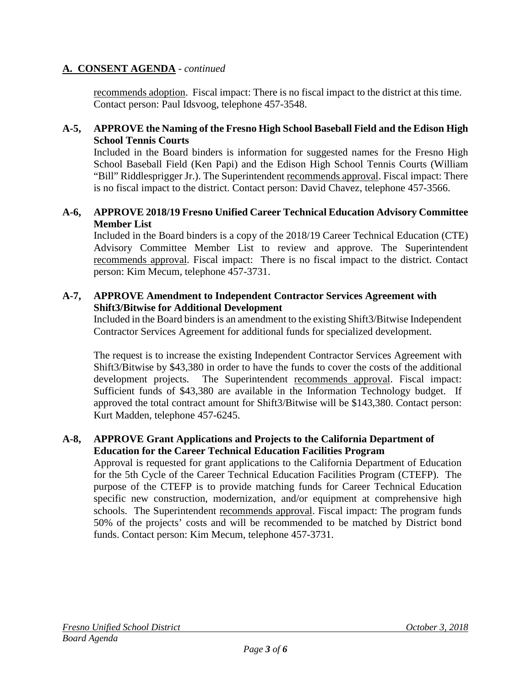#### **A. CONSENT AGENDA** - *continued*

recommends adoption. Fiscal impact: There is no fiscal impact to the district at this time. Contact person: Paul Idsvoog, telephone 457-3548.

#### **A-5, APPROVE the Naming of the Fresno High School Baseball Field and the Edison High School Tennis Courts**

Included in the Board binders is information for suggested names for the Fresno High School Baseball Field (Ken Papi) and the Edison High School Tennis Courts (William "Bill" Riddlesprigger Jr.). The Superintendent recommends approval. Fiscal impact: There is no fiscal impact to the district. Contact person: David Chavez, telephone 457-3566.

#### **A-6, APPROVE 2018/19 Fresno Unified Career Technical Education Advisory Committee Member List**

Included in the Board binders is a copy of the 2018/19 Career Technical Education (CTE) Advisory Committee Member List to review and approve. The Superintendent recommends approval. Fiscal impact: There is no fiscal impact to the district. Contact person: Kim Mecum, telephone 457-3731.

#### **A-7, APPROVE Amendment to Independent Contractor Services Agreement with Shift3/Bitwise for Additional Development**

Included in the Board binders is an amendment to the existing Shift3/Bitwise Independent Contractor Services Agreement for additional funds for specialized development.

The request is to increase the existing Independent Contractor Services Agreement with Shift3/Bitwise by \$43,380 in order to have the funds to cover the costs of the additional development projects. The Superintendent recommends approval. Fiscal impact: Sufficient funds of \$43,380 are available in the Information Technology budget. If approved the total contract amount for Shift3/Bitwise will be \$143,380. Contact person: Kurt Madden, telephone 457-6245.

#### **A-8, APPROVE Grant Applications and Projects to the California Department of Education for the Career Technical Education Facilities Program**

Approval is requested for grant applications to the California Department of Education for the 5th Cycle of the Career Technical Education Facilities Program (CTEFP). The purpose of the CTEFP is to provide matching funds for Career Technical Education specific new construction, modernization, and/or equipment at comprehensive high schools. The Superintendent recommends approval. Fiscal impact: The program funds 50% of the projects' costs and will be recommended to be matched by District bond funds. Contact person: Kim Mecum, telephone 457-3731.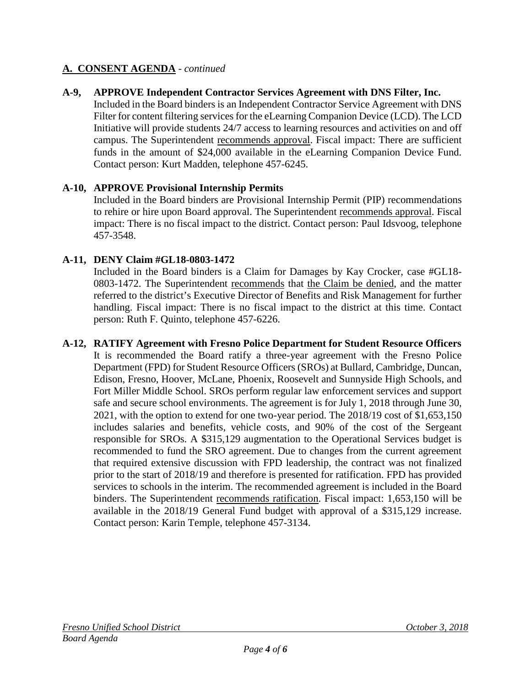#### **A. CONSENT AGENDA** - *continued*

#### **A-9, APPROVE Independent Contractor Services Agreement with DNS Filter, Inc.**

Included in the Board binders is an Independent Contractor Service Agreement with DNS Filter for content filtering services for the eLearning Companion Device (LCD). The LCD Initiative will provide students 24/7 access to learning resources and activities on and off campus. The Superintendent recommends approval. Fiscal impact: There are sufficient funds in the amount of \$24,000 available in the eLearning Companion Device Fund. Contact person: Kurt Madden, telephone 457-6245.

#### **A-10, APPROVE Provisional Internship Permits**

Included in the Board binders are Provisional Internship Permit (PIP) recommendations to rehire or hire upon Board approval. The Superintendent recommends approval. Fiscal impact: There is no fiscal impact to the district. Contact person: Paul Idsvoog, telephone 457-3548.

#### **A-11, DENY Claim #GL18-0803-1472**

Included in the Board binders is a Claim for Damages by Kay Crocker, case #GL18- 0803-1472. The Superintendent recommends that the Claim be denied, and the matter referred to the district's Executive Director of Benefits and Risk Management for further handling. Fiscal impact: There is no fiscal impact to the district at this time. Contact person: Ruth F. Quinto, telephone 457-6226.

#### **A-12, RATIFY Agreement with Fresno Police Department for Student Resource Officers** It is recommended the Board ratify a three-year agreement with the Fresno Police Department (FPD) for Student Resource Officers (SROs) at Bullard, Cambridge, Duncan, Edison, Fresno, Hoover, McLane, Phoenix, Roosevelt and Sunnyside High Schools, and Fort Miller Middle School. SROs perform regular law enforcement services and support safe and secure school environments. The agreement is for July 1, 2018 through June 30, 2021, with the option to extend for one two-year period. The 2018/19 cost of \$1,653,150 includes salaries and benefits, vehicle costs, and 90% of the cost of the Sergeant responsible for SROs. A \$315,129 augmentation to the Operational Services budget is recommended to fund the SRO agreement. Due to changes from the current agreement that required extensive discussion with FPD leadership, the contract was not finalized prior to the start of 2018/19 and therefore is presented for ratification. FPD has provided services to schools in the interim. The recommended agreement is included in the Board binders. The Superintendent recommends ratification. Fiscal impact: 1,653,150 will be available in the 2018/19 General Fund budget with approval of a \$315,129 increase. Contact person: Karin Temple, telephone 457-3134.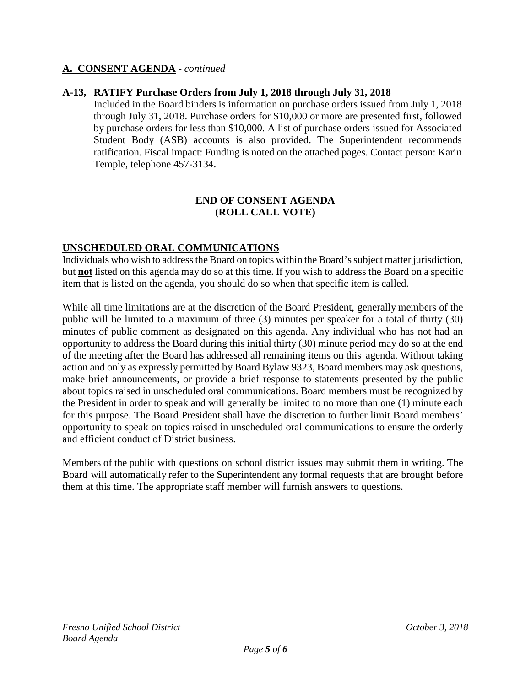#### **A. CONSENT AGENDA** - *continued*

#### **A-13, RATIFY Purchase Orders from July 1, 2018 through July 31, 2018**

Included in the Board binders is information on purchase orders issued from July 1, 2018 through July 31, 2018. Purchase orders for \$10,000 or more are presented first, followed by purchase orders for less than \$10,000. A list of purchase orders issued for Associated Student Body (ASB) accounts is also provided. The Superintendent recommends ratification. Fiscal impact: Funding is noted on the attached pages. Contact person: Karin Temple, telephone 457-3134.

#### **END OF CONSENT AGENDA (ROLL CALL VOTE)**

#### **UNSCHEDULED ORAL COMMUNICATIONS**

Individuals who wish to address the Board on topics within the Board's subject matter jurisdiction, but **not** listed on this agenda may do so at this time. If you wish to address the Board on a specific item that is listed on the agenda, you should do so when that specific item is called.

While all time limitations are at the discretion of the Board President, generally members of the public will be limited to a maximum of three (3) minutes per speaker for a total of thirty (30) minutes of public comment as designated on this agenda. Any individual who has not had an opportunity to address the Board during this initial thirty (30) minute period may do so at the end of the meeting after the Board has addressed all remaining items on this agenda. Without taking action and only as expressly permitted by Board Bylaw 9323, Board members may ask questions, make brief announcements, or provide a brief response to statements presented by the public about topics raised in unscheduled oral communications. Board members must be recognized by the President in order to speak and will generally be limited to no more than one (1) minute each for this purpose. The Board President shall have the discretion to further limit Board members' opportunity to speak on topics raised in unscheduled oral communications to ensure the orderly and efficient conduct of District business.

Members of the public with questions on school district issues may submit them in writing. The Board will automatically refer to the Superintendent any formal requests that are brought before them at this time. The appropriate staff member will furnish answers to questions.